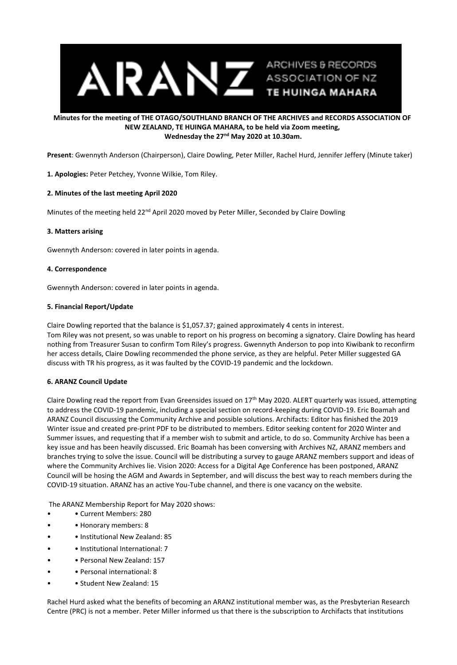

## **Minutes for the meeting of THE OTAGO/SOUTHLAND BRANCH OF THE ARCHIVES and RECORDS ASSOCIATION OF NEW ZEALAND, TE HUINGA MAHARA, to be held via Zoom meeting, Wednesday the 27<sup>nd</sup> May 2020 at 10.30am.**

**Present**: Gwennyth Anderson (Chairperson), Claire Dowling, Peter Miller, Rachel Hurd, Jennifer Jeffery (Minute taker)

**1. Apologies:** Peter Petchey, Yvonne Wilkie, Tom Riley.

## **2. Minutes of the last meeting April 2020**

Minutes of the meeting held 22<sup>nd</sup> April 2020 moved by Peter Miller, Seconded by Claire Dowling

#### **3. Matters arising**

Gwennyth Anderson: covered in later points in agenda.

#### **4. Correspondence**

Gwennyth Anderson: covered in later points in agenda.

#### **5. Financial Report/Update**

Claire Dowling reported that the balance is \$1,057.37; gained approximately 4 cents in interest.

Tom Riley was not present, so was unable to report on his progress on becoming a signatory. Claire Dowling has heard nothing from Treasurer Susan to confirm Tom Riley's progress. Gwennyth Anderson to pop into Kiwibank to reconfirm her access details, Claire Dowling recommended the phone service, as they are helpful. Peter Miller suggested GA discuss with TR his progress, as it was faulted by the COVID-19 pandemic and the lockdown.

## **6. ARANZ Council Update**

Claire Dowling read the report from Evan Greensides issued on 17<sup>th</sup> May 2020. ALERT quarterly was issued, attempting to address the COVID-19 pandemic, including a special section on record-keeping during COVID-19. Eric Boamah and ARANZ Council discussing the Community Archive and possible solutions. Archifacts: Editor has finished the 2019 Winter issue and created pre-print PDF to be distributed to members. Editor seeking content for 2020 Winter and Summer issues, and requesting that if a member wish to submit and article, to do so. Community Archive has been a key issue and has been heavily discussed. Eric Boamah has been conversing with Archives NZ, ARANZ members and branches trying to solve the issue. Council will be distributing a survey to gauge ARANZ members support and ideas of where the Community Archives lie. Vision 2020: Access for a Digital Age Conference has been postponed, ARANZ Council will be hosing the AGM and Awards in September, and will discuss the best way to reach members during the COVID-19 situation. ARANZ has an active You-Tube channel, and there is one vacancy on the website.

The ARANZ Membership Report for May 2020 shows:

- Current Members: 280
- • Honorary members: 8
- • Institutional New Zealand: 85
- • Institutional International: 7
- • Personal New Zealand: 157
- • Personal international: 8
- Student New Zealand: 15

Rachel Hurd asked what the benefits of becoming an ARANZ institutional member was, as the Presbyterian Research Centre (PRC) is not a member. Peter Miller informed us that there is the subscription to Archifacts that institutions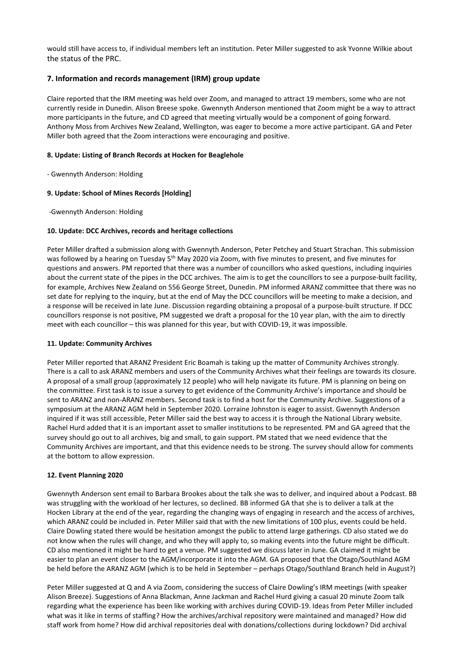would still have access to, if individual members left an institution. Peter Miller suggested to ask Yvonne Wilkie about the status of the PRC.

# **7. Information and records management (IRM) group update**

Claire reported that the IRM meeting was held over Zoom, and managed to attract 19 members, some who are not currently reside in Dunedin. Alison Breese spoke. Gwennyth Anderson mentioned that Zoom might be a way to attract more participants in the future, and CD agreed that meeting virtually would be a component of going forward. Anthony Moss from Archives New Zealand, Wellington, was eager to become a more active participant. GA and Peter Miller both agreed that the Zoom interactions were encouraging and positive.

### **8. Update: Listing of Branch Records at Hocken for Beaglehole**

- Gwennyth Anderson: Holding

#### **9. Update: School of Mines Records [Holding]**

-Gwennyth Anderson: Holding

#### **10. Update: DCC Archives, records and heritage collections**

Peter Miller drafted a submission along with Gwennyth Anderson, Peter Petchey and Stuart Strachan. This submission was followed by a hearing on Tuesday 5<sup>th</sup> May 2020 via Zoom, with five minutes to present, and five minutes for questions and answers. PM reported that there was a number of councillors who asked questions, including inquiries about the current state of the pipes in the DCC archives. The aim is to get the councillors to see a purpose-built facility, for example, Archives New Zealand on 556 George Street, Dunedin. PM informed ARANZ committee that there was no set date for replying to the inquiry, but at the end of May the DCC councillors will be meeting to make a decision, and a response will be received in late June. Discussion regarding obtaining a proposal of a purpose-built structure. If DCC councillors response is not positive, PM suggested we draft a proposal for the 10 year plan, with the aim to directly meet with each councillor – this was planned for this year, but with COVID-19, it was impossible.

## **11. Update: Community Archives**

Peter Miller reported that ARANZ President Eric Boamah is taking up the matter of Community Archives strongly. There is a call to ask ARANZ members and users of the Community Archives what their feelings are towards its closure. A proposal of a small group (approximately 12 people) who will help navigate its future. PM is planning on being on the committee. First task is to issue a survey to get evidence of the Community Archive's importance and should be sent to ARANZ and non-ARANZ members. Second task is to find a host for the Community Archive. Suggestions of a symposium at the ARANZ AGM held in September 2020. Lorraine Johnston is eager to assist. Gwennyth Anderson inquired if it was still accessible, Peter Miller said the best way to access it is through the National Library website. Rachel Hurd added that it is an important asset to smaller institutions to be represented. PM and GA agreed that the survey should go out to all archives, big and small, to gain support. PM stated that we need evidence that the Community Archives are important, and that this evidence needs to be strong. The survey should allow for comments at the bottom to allow expression.

#### **12. Event Planning 2020**

Gwennyth Anderson sent email to Barbara Brookes about the talk she was to deliver, and inquired about a Podcast. BB was struggling with the workload of her lectures, so declined. BB informed GA that she is to deliver a talk at the Hocken Library at the end of the year, regarding the changing ways of engaging in research and the access of archives, which ARANZ could be included in. Peter Miller said that with the new limitations of 100 plus, events could be held. Claire Dowling stated there would be hesitation amongst the public to attend large gatherings. CD also stated we do not know when the rules will change, and who they will apply to, so making events into the future might be difficult. CD also mentioned it might be hard to get a venue. PM suggested we discuss later in June. GA claimed it might be easier to plan an event closer to the AGM/incorporate it into the AGM. GA proposed that the Otago/Southland AGM be held before the ARANZ AGM (which is to be held in September – perhaps Otago/Southland Branch held in August?)

Peter Miller suggested at Q and A via Zoom, considering the success of Claire Dowling's IRM meetings (with speaker Alison Breeze). Suggestions of Anna Blackman, Anne Jackman and Rachel Hurd giving a casual 20 minute Zoom talk regarding what the experience has been like working with archives during COVID-19. Ideas from Peter Miller included what was it like in terms of staffing? How the archives/archival repository were maintained and managed? How did staff work from home? How did archival repositories deal with donations/collections during lockdown? Did archival